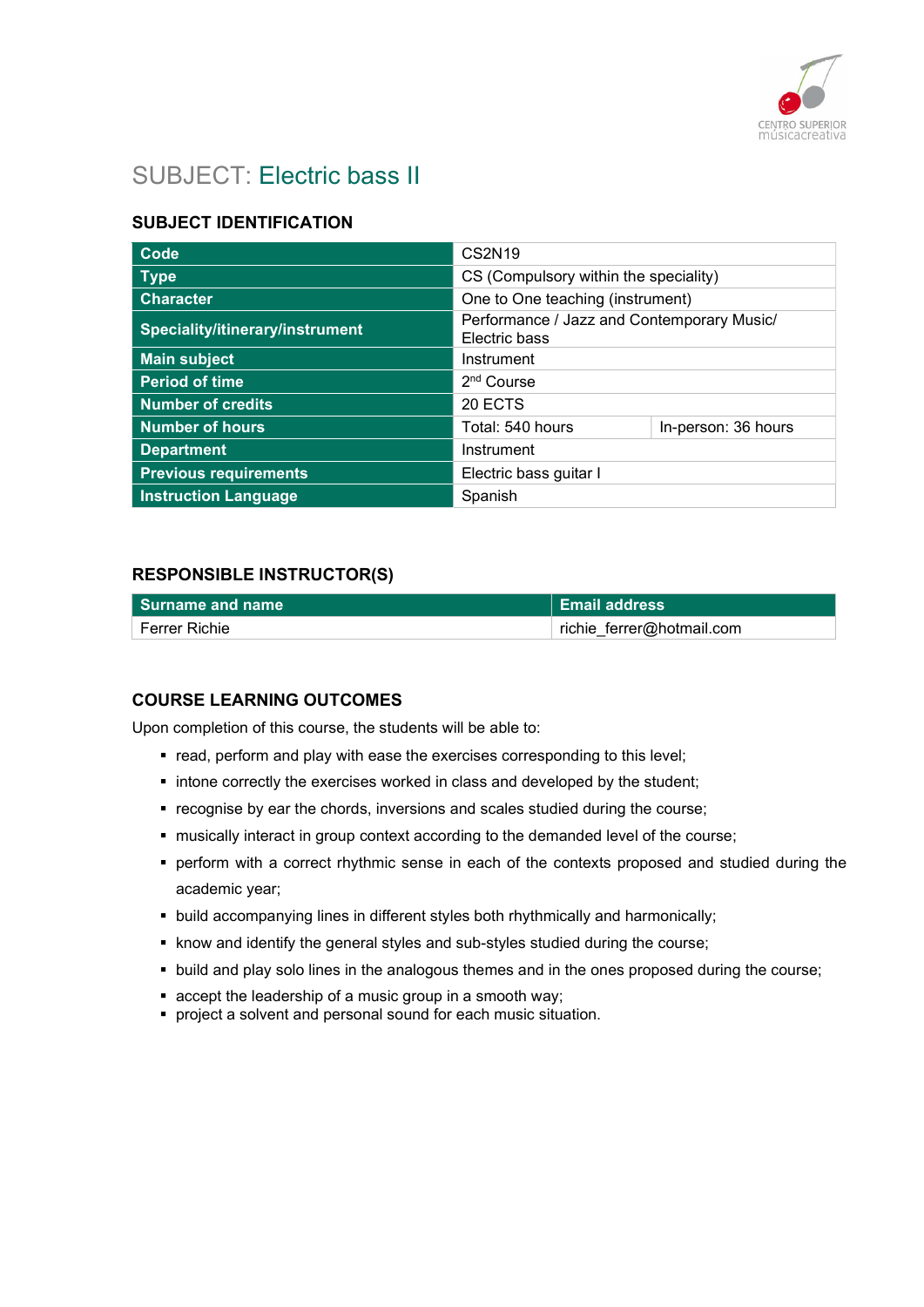

# SUBJECT: Electric bass II

## SUBJECT IDENTIFICATION

| Code                            | <b>CS2N19</b>                                               |                     |
|---------------------------------|-------------------------------------------------------------|---------------------|
| <b>Type</b>                     | CS (Compulsory within the speciality)                       |                     |
| <b>Character</b>                | One to One teaching (instrument)                            |                     |
| Speciality/itinerary/instrument | Performance / Jazz and Contemporary Music/<br>Electric bass |                     |
| <b>Main subject</b>             | Instrument                                                  |                     |
| <b>Period of time</b>           | 2 <sup>nd</sup> Course                                      |                     |
| Number of credits               | 20 ECTS                                                     |                     |
| <b>Number of hours</b>          | Total: 540 hours                                            | In-person: 36 hours |
| <b>Department</b>               | Instrument                                                  |                     |
| <b>Previous requirements</b>    | Electric bass guitar I                                      |                     |
| <b>Instruction Language</b>     | Spanish                                                     |                     |

### RESPONSIBLE INSTRUCTOR(S)

| l Surname and name | <b>Email address</b>      |
|--------------------|---------------------------|
| Ferrer Richie      | richie ferrer@hotmail.com |

### COURSE LEARNING OUTCOMES

Upon completion of this course, the students will be able to:

- **•** read, perform and play with ease the exercises corresponding to this level;
- **intone correctly the exercises worked in class and developed by the student;**
- **•** recognise by ear the chords, inversions and scales studied during the course;
- musically interact in group context according to the demanded level of the course;
- perform with a correct rhythmic sense in each of the contexts proposed and studied during the academic year;
- **build accompanying lines in different styles both rhythmically and harmonically;**
- know and identify the general styles and sub-styles studied during the course;
- build and play solo lines in the analogous themes and in the ones proposed during the course;
- accept the leadership of a music group in a smooth way;
- **PEDRIM** project a solvent and personal sound for each music situation.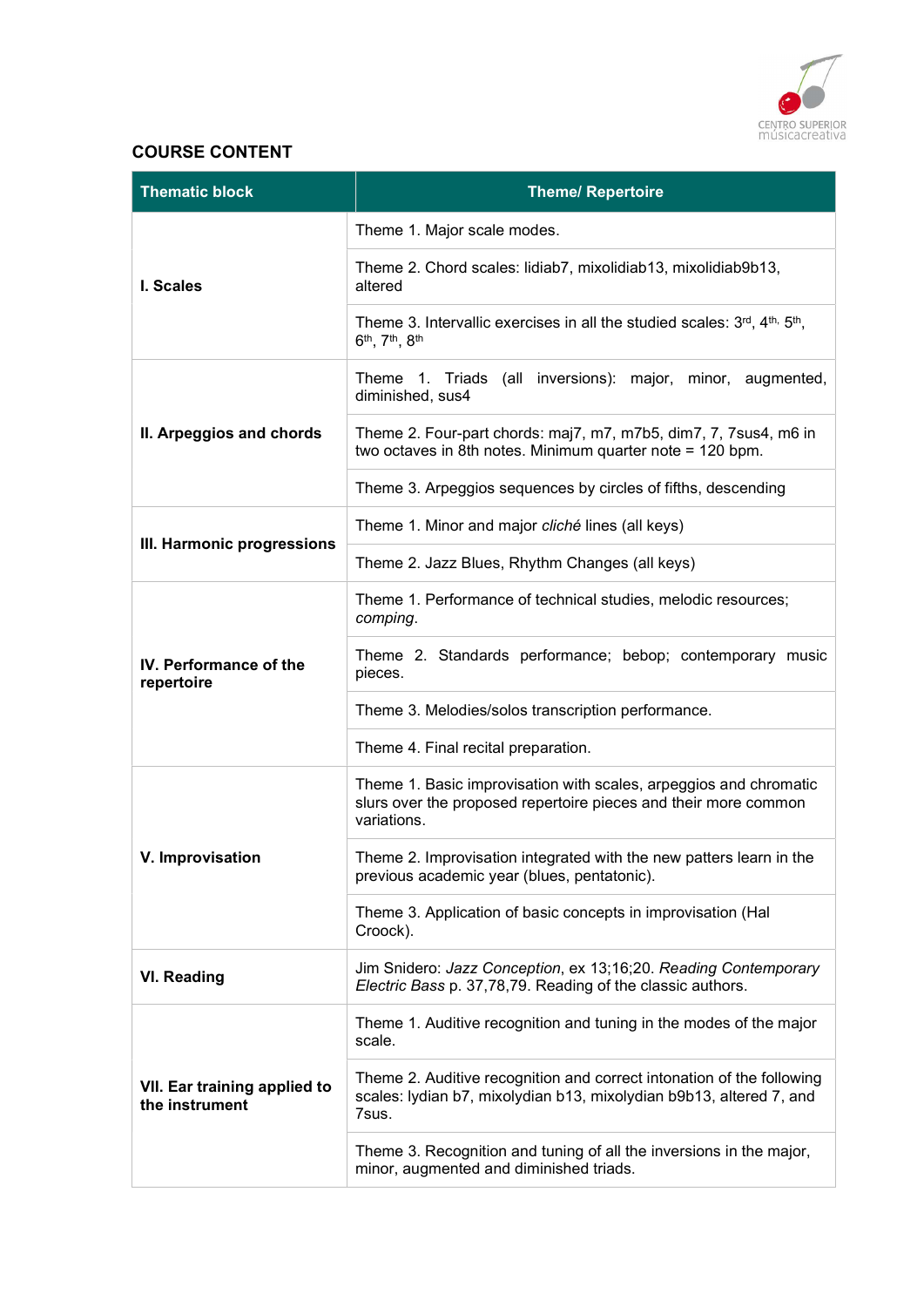

## COURSE CONTENT

| <b>Thematic block</b>                          | <b>Theme/ Repertoire</b>                                                                                                                              |
|------------------------------------------------|-------------------------------------------------------------------------------------------------------------------------------------------------------|
|                                                | Theme 1. Major scale modes.                                                                                                                           |
| I. Scales                                      | Theme 2. Chord scales: lidiab7, mixolidiab13, mixolidiab9b13,<br>altered                                                                              |
|                                                | Theme 3. Intervallic exercises in all the studied scales: 3rd, 4th, 5th,<br>6 <sup>th</sup> , 7 <sup>th</sup> , 8 <sup>th</sup>                       |
|                                                | Theme 1. Triads (all inversions): major, minor, augmented,<br>diminished, sus4                                                                        |
| II. Arpeggios and chords                       | Theme 2. Four-part chords: maj7, m7, m7b5, dim7, 7, 7sus4, m6 in<br>two octaves in 8th notes. Minimum quarter note = 120 bpm.                         |
|                                                | Theme 3. Arpeggios sequences by circles of fifths, descending                                                                                         |
| III. Harmonic progressions                     | Theme 1. Minor and major cliché lines (all keys)                                                                                                      |
|                                                | Theme 2. Jazz Blues, Rhythm Changes (all keys)                                                                                                        |
|                                                | Theme 1. Performance of technical studies, melodic resources;<br>comping.                                                                             |
| IV. Performance of the<br>repertoire           | Theme 2. Standards performance; bebop; contemporary music<br>pieces.                                                                                  |
|                                                | Theme 3. Melodies/solos transcription performance.                                                                                                    |
|                                                | Theme 4. Final recital preparation.                                                                                                                   |
|                                                | Theme 1. Basic improvisation with scales, arpeggios and chromatic<br>slurs over the proposed repertoire pieces and their more common<br>variations.   |
| V. Improvisation                               | Theme 2. Improvisation integrated with the new patters learn in the<br>previous academic year (blues, pentatonic).                                    |
|                                                | Theme 3. Application of basic concepts in improvisation (Hal<br>Croock).                                                                              |
| <b>VI. Reading</b>                             | Jim Snidero: Jazz Conception, ex 13;16;20. Reading Contemporary<br>Electric Bass p. 37,78,79. Reading of the classic authors.                         |
|                                                | Theme 1. Auditive recognition and tuning in the modes of the major<br>scale.                                                                          |
| VII. Ear training applied to<br>the instrument | Theme 2. Auditive recognition and correct intonation of the following<br>scales: lydian b7, mixolydian b13, mixolydian b9b13, altered 7, and<br>7sus. |
|                                                | Theme 3. Recognition and tuning of all the inversions in the major,<br>minor, augmented and diminished triads.                                        |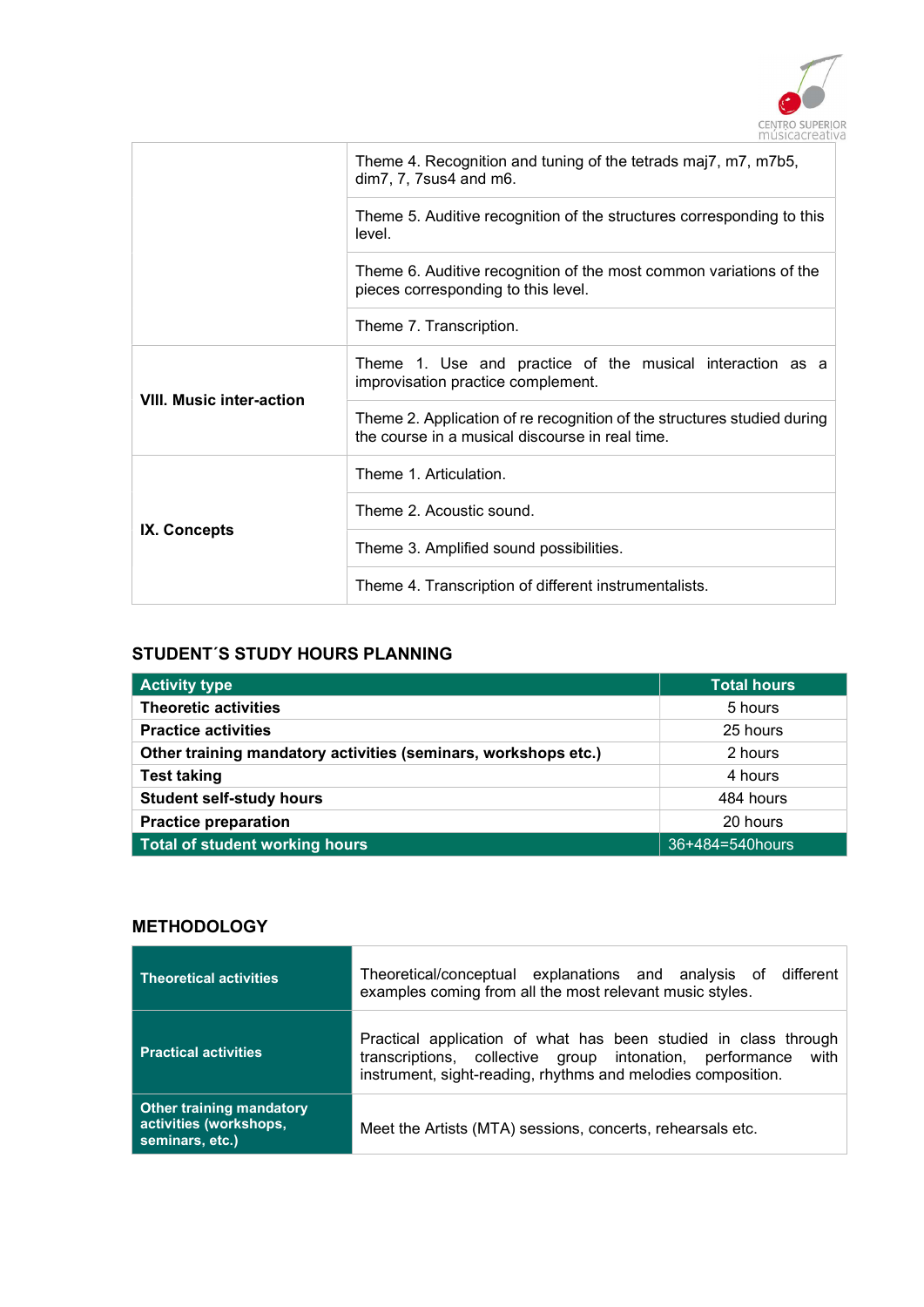

|                                 | Theme 4. Recognition and tuning of the tetrads maj7, m7, m7b5,<br>dim 7, 7, 7sus 4 and m6.                                 |
|---------------------------------|----------------------------------------------------------------------------------------------------------------------------|
|                                 | Theme 5. Auditive recognition of the structures corresponding to this<br>level.                                            |
|                                 | Theme 6. Auditive recognition of the most common variations of the<br>pieces corresponding to this level.                  |
|                                 | Theme 7. Transcription.                                                                                                    |
|                                 | Theme 1. Use and practice of the musical interaction as a<br>improvisation practice complement.                            |
| <b>VIII. Music inter-action</b> | Theme 2. Application of re recognition of the structures studied during<br>the course in a musical discourse in real time. |
|                                 | Theme 1. Articulation.                                                                                                     |
|                                 | Theme 2. Acoustic sound.                                                                                                   |
| IX. Concepts                    | Theme 3. Amplified sound possibilities.                                                                                    |
|                                 | Theme 4. Transcription of different instrumentalists.                                                                      |

# STUDENT´S STUDY HOURS PLANNING

| <b>Activity type</b>                                           | <b>Total hours</b> |
|----------------------------------------------------------------|--------------------|
| <b>Theoretic activities</b>                                    | 5 hours            |
| <b>Practice activities</b>                                     | 25 hours           |
| Other training mandatory activities (seminars, workshops etc.) | 2 hours            |
| <b>Test taking</b>                                             | 4 hours            |
| <b>Student self-study hours</b>                                | 484 hours          |
| <b>Practice preparation</b>                                    | 20 hours           |
| Total of student working hours                                 | 36+484=540hours    |

## **METHODOLOGY**

| <b>Theoretical activities</b>                                                | Theoretical/conceptual explanations and analysis of different<br>examples coming from all the most relevant music styles.                                                                        |
|------------------------------------------------------------------------------|--------------------------------------------------------------------------------------------------------------------------------------------------------------------------------------------------|
| <b>Practical activities</b>                                                  | Practical application of what has been studied in class through<br>transcriptions, collective group intonation, performance with<br>instrument, sight-reading, rhythms and melodies composition. |
| <b>Other training mandatory</b><br>activities (workshops,<br>seminars, etc.) | Meet the Artists (MTA) sessions, concerts, rehearsals etc.                                                                                                                                       |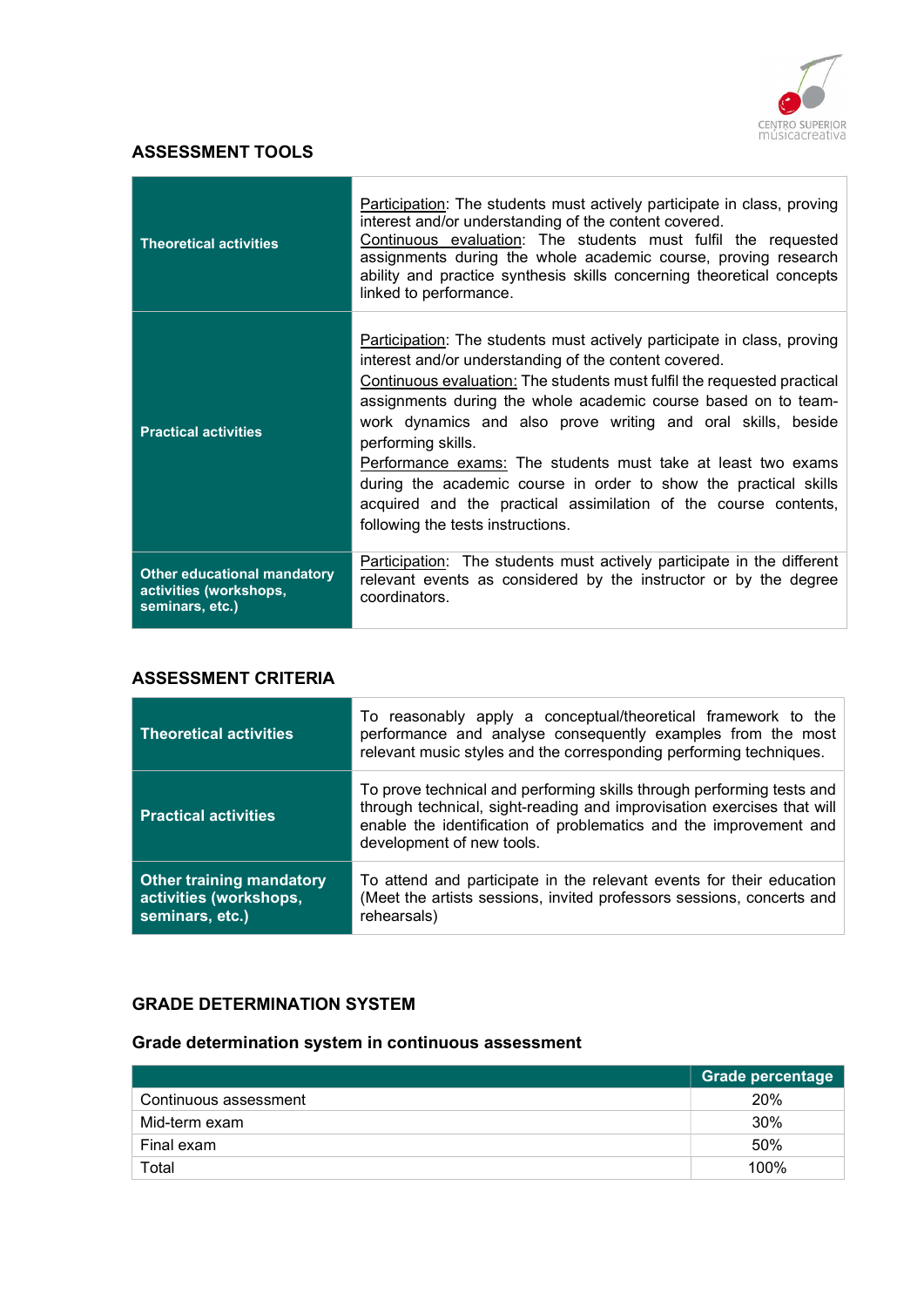

## ASSESSMENT TOOLS

| <b>Theoretical activities</b>                                                   | Participation: The students must actively participate in class, proving<br>interest and/or understanding of the content covered.<br>Continuous evaluation: The students must fulfil the requested<br>assignments during the whole academic course, proving research<br>ability and practice synthesis skills concerning theoretical concepts<br>linked to performance.                                                                                                                                                                                                                                                 |
|---------------------------------------------------------------------------------|------------------------------------------------------------------------------------------------------------------------------------------------------------------------------------------------------------------------------------------------------------------------------------------------------------------------------------------------------------------------------------------------------------------------------------------------------------------------------------------------------------------------------------------------------------------------------------------------------------------------|
| <b>Practical activities</b>                                                     | <b>Participation:</b> The students must actively participate in class, proving<br>interest and/or understanding of the content covered.<br>Continuous evaluation: The students must fulfil the requested practical<br>assignments during the whole academic course based on to team-<br>work dynamics and also prove writing and oral skills, beside<br>performing skills.<br>Performance exams: The students must take at least two exams<br>during the academic course in order to show the practical skills<br>acquired and the practical assimilation of the course contents,<br>following the tests instructions. |
| <b>Other educational mandatory</b><br>activities (workshops,<br>seminars, etc.) | Participation: The students must actively participate in the different<br>relevant events as considered by the instructor or by the degree<br>coordinators.                                                                                                                                                                                                                                                                                                                                                                                                                                                            |

### ASSESSMENT CRITERIA

| <b>Theoretical activities</b>                                                | To reasonably apply a conceptual/theoretical framework to the<br>performance and analyse consequently examples from the most<br>relevant music styles and the corresponding performing techniques.                                                |
|------------------------------------------------------------------------------|---------------------------------------------------------------------------------------------------------------------------------------------------------------------------------------------------------------------------------------------------|
| <b>Practical activities</b>                                                  | To prove technical and performing skills through performing tests and<br>through technical, sight-reading and improvisation exercises that will<br>enable the identification of problematics and the improvement and<br>development of new tools. |
| <b>Other training mandatory</b><br>activities (workshops,<br>seminars, etc.) | To attend and participate in the relevant events for their education<br>(Meet the artists sessions, invited professors sessions, concerts and<br>rehearsals)                                                                                      |

## GRADE DETERMINATION SYSTEM

## Grade determination system in continuous assessment

|                       | <b>Grade percentage</b> |
|-----------------------|-------------------------|
| Continuous assessment | 20%                     |
| Mid-term exam         | 30%                     |
| Final exam            | 50%                     |
| Total                 | 100%                    |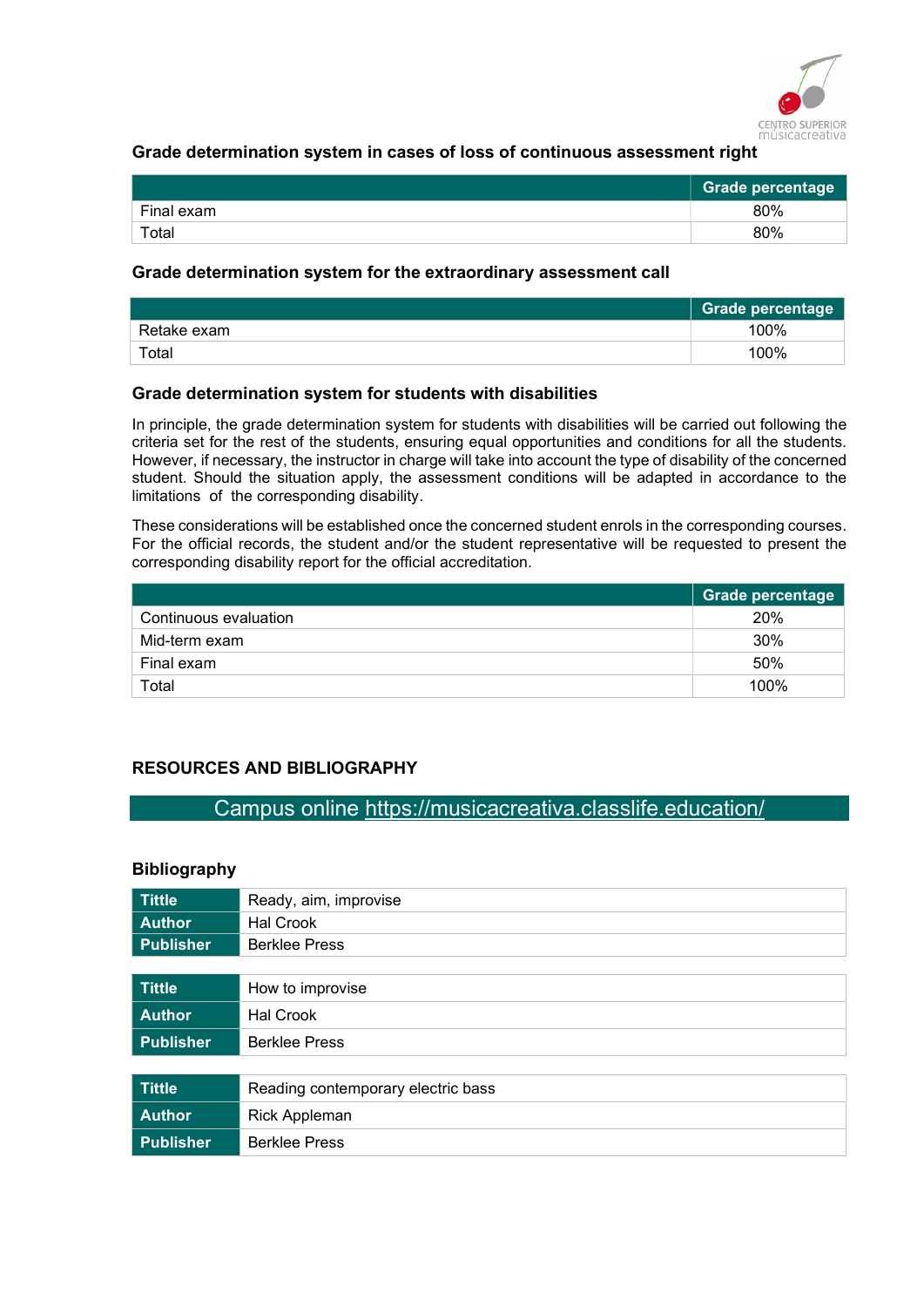

### Grade determination system in cases of loss of continuous assessment right

|                        | Grade percentage |
|------------------------|------------------|
| Final exam             | 80%              |
| $\tau$ <sub>otal</sub> | 80%              |

#### Grade determination system for the extraordinary assessment call

|             | <b>Grade percentage</b> |
|-------------|-------------------------|
| Retake exam | 100%                    |
| Total       | 100%                    |

#### Grade determination system for students with disabilities

In principle, the grade determination system for students with disabilities will be carried out following the criteria set for the rest of the students, ensuring equal opportunities and conditions for all the students. However, if necessary, the instructor in charge will take into account the type of disability of the concerned student. Should the situation apply, the assessment conditions will be adapted in accordance to the limitations of the corresponding disability.

These considerations will be established once the concerned student enrols in the corresponding courses. For the official records, the student and/or the student representative will be requested to present the corresponding disability report for the official accreditation.

|                       | <b>Grade percentage</b> |
|-----------------------|-------------------------|
| Continuous evaluation | 20%                     |
| Mid-term exam         | 30%                     |
| Final exam            | 50%                     |
| Total                 | 100%                    |

## RESOURCES AND BIBLIOGRAPHY

# Campus online https://musicacreativa.classlife.education/

#### Bibliography

| <b>Tittle</b>    | Ready, aim, improvise              |
|------------------|------------------------------------|
| <b>Author</b>    | Hal Crook                          |
| <b>Publisher</b> | <b>Berklee Press</b>               |
|                  |                                    |
| <b>Tittle</b>    | How to improvise                   |
| <b>Author</b>    | <b>Hal Crook</b>                   |
| <b>Publisher</b> | <b>Berklee Press</b>               |
|                  |                                    |
| <b>Tittle</b>    | Reading contemporary electric bass |
| <b>Author</b>    | <b>Rick Appleman</b>               |
| <b>Publisher</b> | <b>Berklee Press</b>               |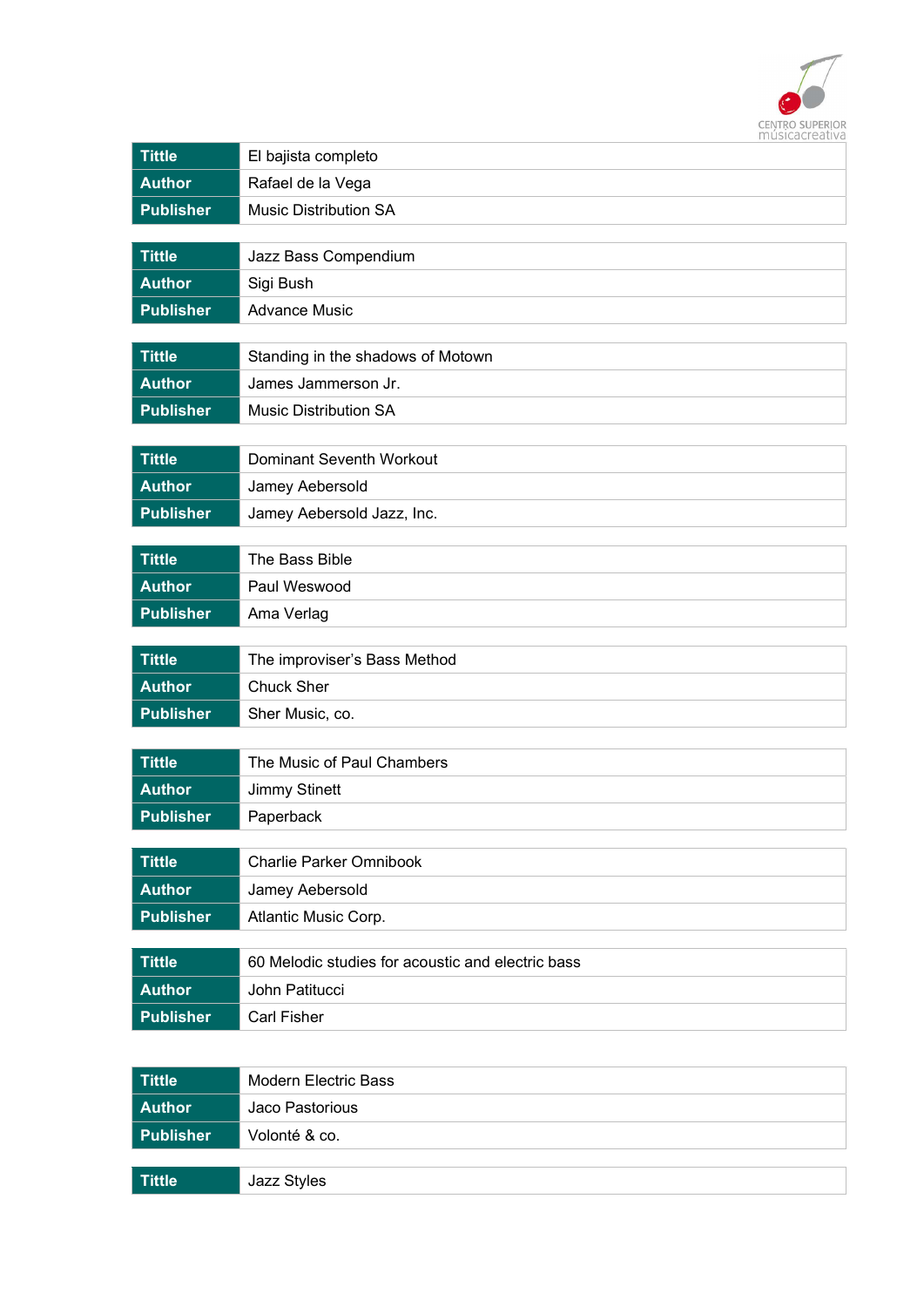

| <b>Tittle</b>    | El bajista completo                               |
|------------------|---------------------------------------------------|
| <b>Author</b>    | Rafael de la Vega                                 |
| <b>Publisher</b> | <b>Music Distribution SA</b>                      |
|                  |                                                   |
| <b>Tittle</b>    | Jazz Bass Compendium                              |
| <b>Author</b>    | Sigi Bush                                         |
| <b>Publisher</b> | <b>Advance Music</b>                              |
| <b>Tittle</b>    | Standing in the shadows of Motown                 |
| <b>Author</b>    | James Jammerson Jr.                               |
| <b>Publisher</b> | <b>Music Distribution SA</b>                      |
|                  |                                                   |
| <b>Tittle</b>    | Dominant Seventh Workout                          |
| <b>Author</b>    | Jamey Aebersold                                   |
| <b>Publisher</b> | Jamey Aebersold Jazz, Inc.                        |
|                  |                                                   |
| <b>Tittle</b>    | The Bass Bible                                    |
| <b>Author</b>    | Paul Weswood                                      |
| <b>Publisher</b> | Ama Verlag                                        |
| <b>Tittle</b>    | The improviser's Bass Method                      |
| <b>Author</b>    | <b>Chuck Sher</b>                                 |
| <b>Publisher</b> | Sher Music, co.                                   |
|                  |                                                   |
| <b>Tittle</b>    | The Music of Paul Chambers                        |
| <b>Author</b>    | <b>Jimmy Stinett</b>                              |
| <b>Publisher</b> | Paperback                                         |
|                  |                                                   |
| <b>Tittle</b>    | <b>Charlie Parker Omnibook</b>                    |
| <b>Author</b>    | Jamey Aebersold                                   |
| <b>Publisher</b> | Atlantic Music Corp.                              |
| <b>Tittle</b>    | 60 Melodic studies for acoustic and electric bass |
| <b>Author</b>    | John Patitucci                                    |
| <b>Publisher</b> | <b>Carl Fisher</b>                                |
|                  |                                                   |

| Tittle           | Modern Electric Bass |
|------------------|----------------------|
| Author           | Jaco Pastorious      |
| <b>Publisher</b> | Volonté & co.        |
|                  |                      |
| Tittle           | Jazz Styles          |